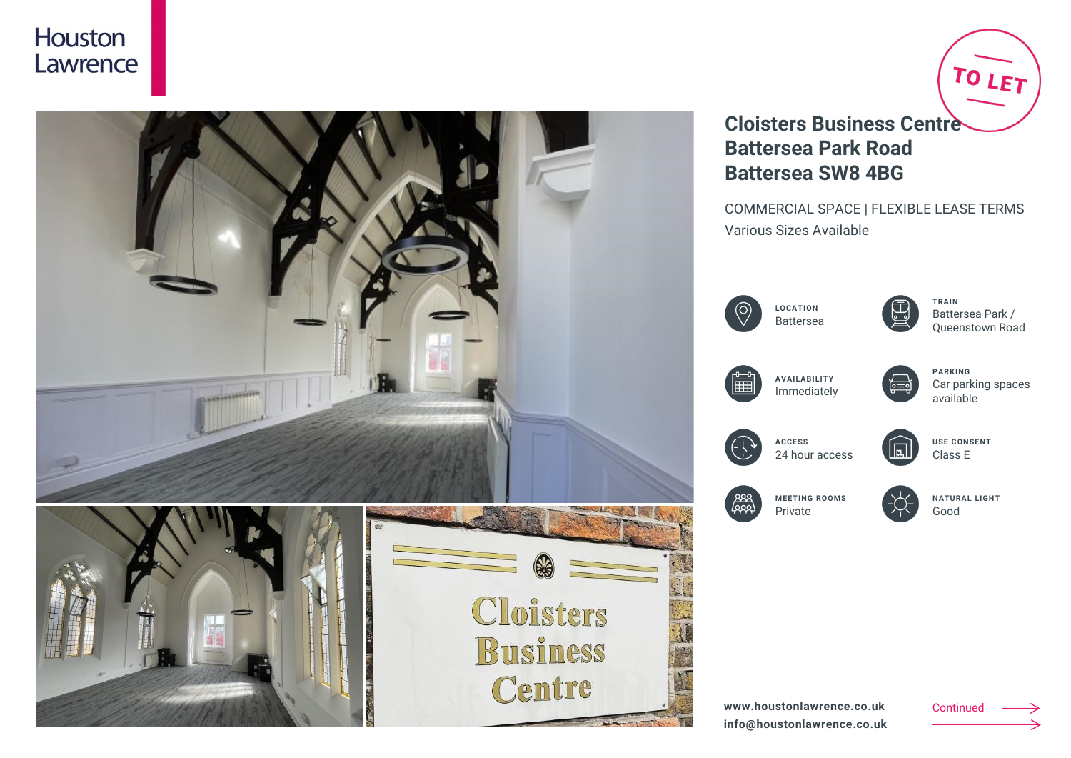



# **Cloisters Business Centre Battersea Park Road Battersea SW8 4BG**

COMMERCIAL SPACE | FLEXIBLE LEASE TERMS Various Sizes Available







**TRAIN** Battersea Park / Queenstown Road

TO LET



**AVAILABILITY** Immediately



**PARKING** Car parking spaces available



**ACCESS** 24 hour access



**MEETING ROOMS** Private

**NATURAL LIGHT** Good